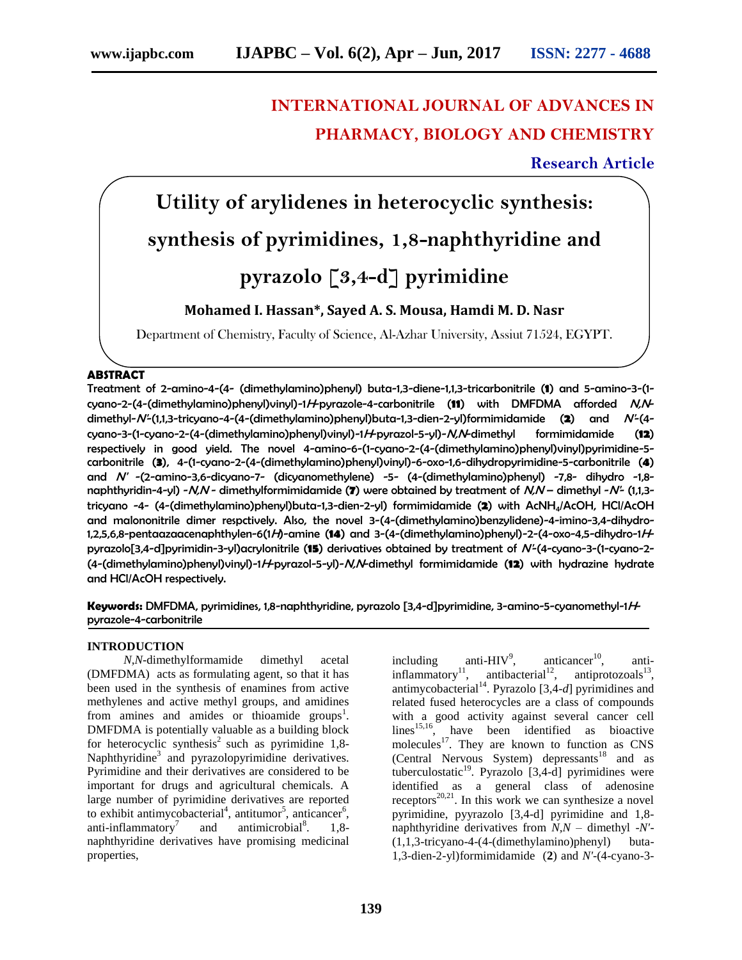# **INTERNATIONAL JOURNAL OF ADVANCES IN PHARMACY, BIOLOGY AND CHEMISTRY**

## **Research Article**

# **Utility of arylidenes in heterocyclic synthesis: synthesis of pyrimidines, 1,8-naphthyridine and pyrazolo [3,4-d] pyrimidine**

# **Mohamed I. Hassan\*, Sayed A. S. Mousa, Hamdi M. D. Nasr**

Department of Chemistry, Faculty of Science, Al-Azhar University, Assiut 71524, EGYPT.

### **ABSTRACT**

Treatment of 2-amino-4-(4- (dimethylamino)phenyl) buta-1,3-diene-1,1,3-tricarbonitrile (**1**) and 5-amino-3-(1 cyano-2-(4-(dimethylamino)phenyl)vinyl)-1H-pyrazole-4-carbonitrile (**11**) with DMFDMA afforded N,Ndimethyl-N'-(1,1,3-tricyano-4-(4-(dimethylamino)phenyl)buta-1,3-dien-2-yl)formimidamide (**2**) and N'-(4 cyano-3-(1-cyano-2-(4-(dimethylamino)phenyl)vinyl)-1H-pyrazol-5-yl)-N,N-dimethyl formimidamide (**12**) respectively in good yield. The novel 4-amino-6-(1-cyano-2-(4-(dimethylamino)phenyl)vinyl)pyrimidine-5 carbonitrile (**3**), 4-(1-cyano-2-(4-(dimethylamino)phenyl)vinyl)-6-oxo-1,6-dihydropyrimidine-5-carbonitrile (**4**) and N' -(2-amino-3,6-dicyano-7- (dicyanomethylene) -5- (4-(dimethylamino)phenyl) -7,8- dihydro -1,8 naphthyridin-4-yl) -N,N - dimethylformimidamide (**7**) were obtained by treatment of N,N – dimethyl -N'- (1,1,3 tricyano -4- (4-(dimethylamino)phenyl)buta-1,3-dien-2-yl) formimidamide (**2**) with AcNH4/AcOH, HCl/AcOH and malononitrile dimer respctively. Also, the novel 3-(4-(dimethylamino)benzylidene)-4-imino-3,4-dihydro-1,2,5,6,8-pentaazaacenaphthylen-6(1H)-amine (**14**) and 3-(4-(dimethylamino)phenyl)-2-(4-oxo-4,5-dihydro-1Hpyrazolo[3,4-d]pyrimidin-3-yl)acrylonitrile (**15**) derivatives obtained by treatment of N'-(4-cyano-3-(1-cyano-2- (4-(dimethylamino)phenyl)vinyl)-1H-pyrazol-5-yl)-N,N-dimethyl formimidamide (**12**) with hydrazine hydrate and HCl/AcOH respectively.

**Keywords:** DMFDMA, pyrimidines, 1,8-naphthyridine, pyrazolo [3,4-d]pyrimidine, 3-amino-5-cyanomethyl-1Hpyrazole-4-carbonitrile

#### **INTRODUCTION**

 *N,N*-dimethylformamide dimethyl acetal (DMFDMA) acts as formulating agent, so that it has been used in the synthesis of enamines from active methylenes and active methyl groups, and amidines from amines and amides or thioamide groups<sup>1</sup>. DMFDMA is potentially valuable as a building block for heterocyclic synthesis<sup>2</sup> such as pyrimidine  $1,8$ -Naphthyridine<sup>3</sup> and pyrazolopyrimidine derivatives. Pyrimidine and their derivatives are considered to be important for drugs and agricultural chemicals. A large number of pyrimidine derivatives are reported to exhibit antimycobacterial<sup>4</sup>, antitumor<sup>5</sup>, anticancer<sup>6</sup>, anti-inflammatory<sup>7</sup> and antimicrobial<sup>8</sup>. . 1,8 naphthyridine derivatives have promising medicinal properties,

including anti- $HIV<sup>9</sup>$ , anticancer $10$ , , antiinflammatory<sup>11</sup>, antibacterial<sup>12</sup>, antiprotozoals<sup>13</sup>, antimycobacterial<sup>14</sup>. Pyrazolo [3,4-d] pyrimidines and related fused heterocycles are a class of compounds with a good activity against several cancer cell  $\limes^{15,16}$ , have been identified as bioactive molecules<sup>17</sup>. They are known to function as  $CNS$ (Central Nervous System) depressants<sup>18</sup> and as tuberculostatic $19$ . Pyrazolo [3,4-d] pyrimidines were identified as a general class of adenosine receptors<sup>20,21</sup>. In this work we can synthesize a novel pyrimidine, pyyrazolo [3,4-d] pyrimidine and 1,8 naphthyridine derivatives from *N,N* – dimethyl -*N'*- (1,1,3-tricyano-4-(4-(dimethylamino)phenyl) buta-1,3-dien-2-yl)formimidamide (**2**) and *N'*-(4-cyano-3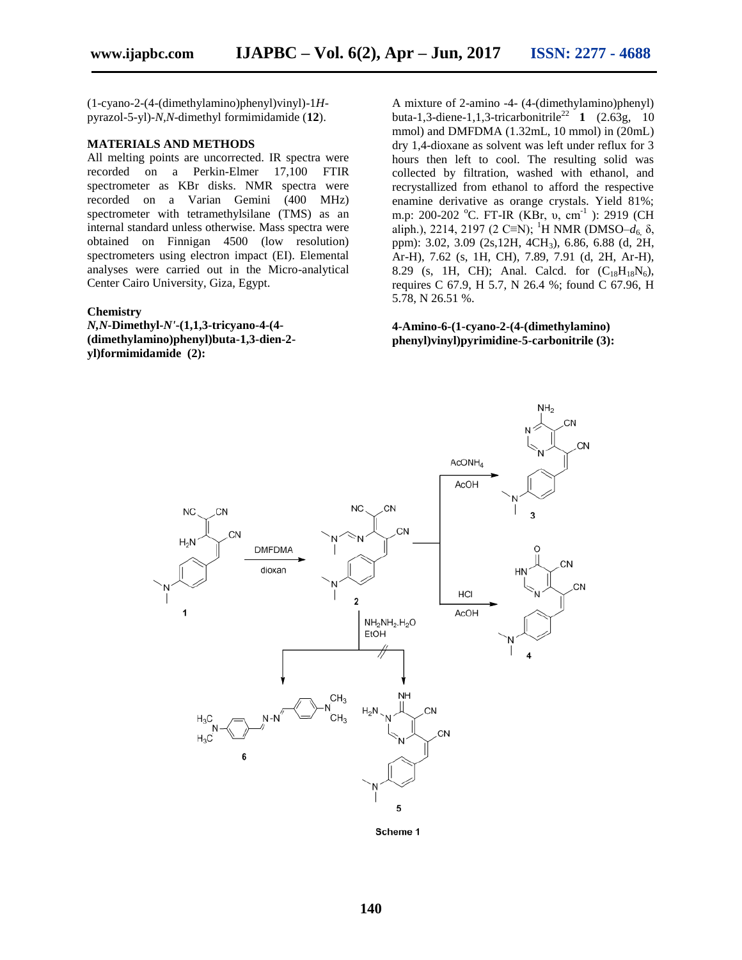(1-cyano-2-(4-(dimethylamino)phenyl)vinyl)-1*H*pyrazol-5-yl)-*N,N*-dimethyl formimidamide (**12**).

#### **MATERIALS AND METHODS**

All melting points are uncorrected. IR spectra were recorded on a Perkin-Elmer 17,100 FTIR spectrometer as KBr disks. NMR spectra were recorded on a Varian Gemini (400 MHz) spectrometer with tetramethylsilane (TMS) as an internal standard unless otherwise. Mass spectra were obtained on Finnigan 4500 (low resolution) spectrometers using electron impact (EI). Elemental analyses were carried out in the Micro-analytical Center Cairo University, Giza, Egypt.

#### **Chemistry**

*N,N***-Dimethyl-***N'***-(1,1,3-tricyano-4-(4- (dimethylamino)phenyl)buta-1,3-dien-2 yl)formimidamide (2):**

A mixture of 2-amino -4- (4-(dimethylamino)phenyl) buta-1,3-diene-1,1,3-tricarbonitrile<sup>22</sup> **1** (2.63g, 10) mmol) and DMFDMA (1.32mL, 10 mmol) in (20mL) dry 1,4-dioxane as solvent was left under reflux for 3 hours then left to cool. The resulting solid was collected by filtration, washed with ethanol, and recrystallized from ethanol to afford the respective enamine derivative as orange crystals. Yield 81%; m.p: 200-202 °C. FT-IR (KBr, υ, cm<sup>-1</sup>): 2919 (CH aliph.), 2214, 2197 (2 C≡N); <sup>1</sup>H NMR (DMSO– $d_6$ , δ, ppm): 3.02, 3.09 (2s,12H, 4CH3), 6.86, 6.88 (d, 2H, Ar-H), 7.62 (s, 1H, CH), 7.89, 7.91 (d, 2H, Ar-H), 8.29 (s, 1H, CH); Anal. Calcd. for  $(C_{18}H_{18}N_6)$ , requires C 67.9, H 5.7, N 26.4 %; found C 67.96, H 5.78, N 26.51 %.

**4-Amino-6-(1-cyano-2-(4-(dimethylamino) phenyl)vinyl)pyrimidine-5-carbonitrile (3):**



Scheme 1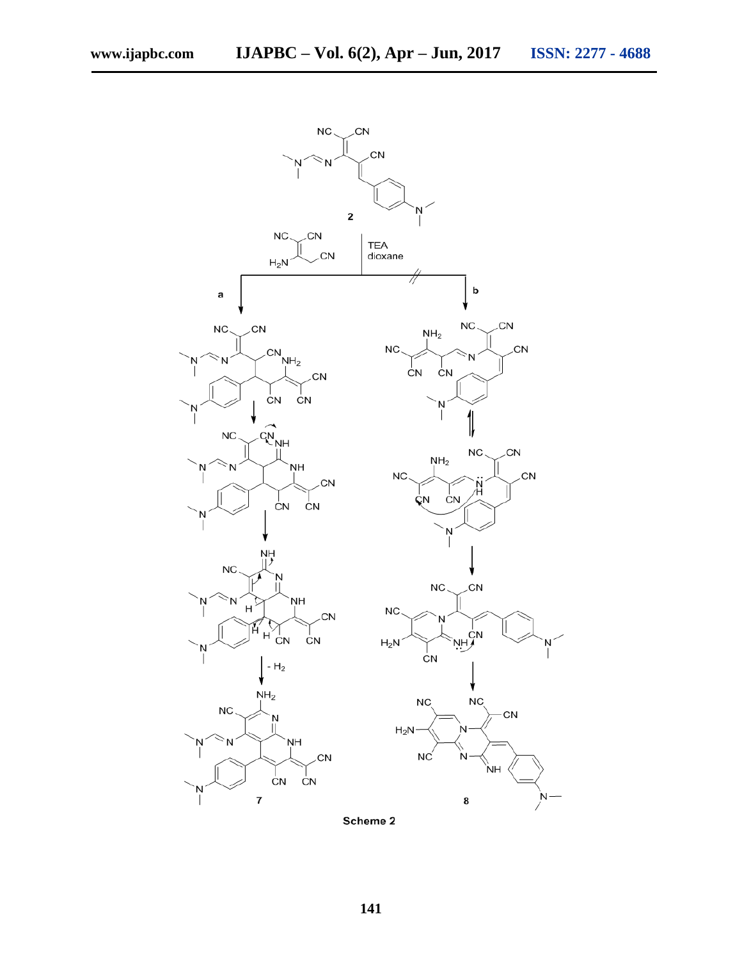CN

CN

Ν

 $N$ 



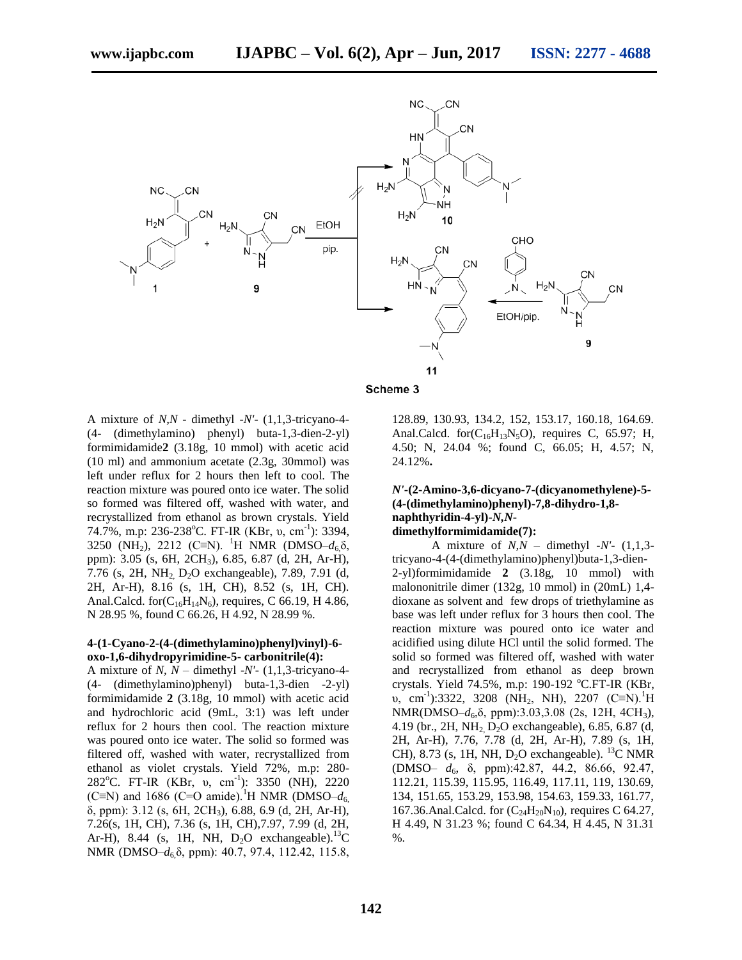

#### Scheme 3

A mixture of *N,N* - dimethyl -*N'*- (1,1,3-tricyano-4- (4- (dimethylamino) phenyl) buta-1,3-dien-2-yl) formimidamide**2** (3.18g, 10 mmol) with acetic acid (10 ml) and ammonium acetate (2.3g, 30mmol) was left under reflux for 2 hours then left to cool. The reaction mixture was poured onto ice water. The solid so formed was filtered off, washed with water, and recrystallized from ethanol as brown crystals. Yield 74.7%, m.p: 236-238°C. FT-IR (KBr, υ, cm<sup>-1</sup>): 3394, 3250 (NH<sub>2</sub>), 2212 (C≡N). <sup>1</sup>H NMR (DMSO– $d_6\delta$ , ppm): 3.05 (s, 6H, 2CH3), 6.85, 6.87 (d, 2H, Ar-H), 7.76 (s, 2H, NH2, D2O exchangeable), 7.89, 7.91 (d, 2H, Ar-H), 8.16 (s, 1H, CH), 8.52 (s, 1H, CH). Anal.Calcd. for  $(C_{16}H_{14}N_6)$ , requires, C 66.19, H 4.86, N 28.95 %, found C 66.26, H 4.92, N 28.99 %.

#### **4-(1-Cyano-2-(4-(dimethylamino)phenyl)vinyl)-6 oxo-1,6-dihydropyrimidine-5- carbonitrile(4):**

A mixture of *N, N* – dimethyl -*N'*- (1,1,3-tricyano-4- (4- (dimethylamino)phenyl) buta-1,3-dien -2-yl) formimidamide **2** (3.18g, 10 mmol) with acetic acid and hydrochloric acid (9mL, 3:1) was left under reflux for 2 hours then cool. The reaction mixture was poured onto ice water. The solid so formed was filtered off, washed with water, recrystallized from ethanol as violet crystals. Yield 72%, m.p: 280- 282<sup>°</sup>C. FT-IR (KBr, υ, cm<sup>-1</sup>): 3350 (NH), 2220 (C≡N) and 1686 (C=O amide).<sup>1</sup>H NMR (DMSO– $d_6$ δ, ppm): 3.12 (s, 6H, 2CH3), 6.88, 6.9 (d, 2H, Ar-H), 7.26(s, 1H, CH), 7.36 (s, 1H, CH),7.97, 7.99 (d, 2H, Ar-H), 8.44 (s, 1H, NH,  $D_2O$  exchangeable).<sup>13</sup>C NMR (DMSO–*d*<sub>6</sub>δ, ppm): 40.7, 97.4, 112.42, 115.8,

128.89, 130.93, 134.2, 152, 153.17, 160.18, 164.69. Anal.Calcd. for $(C_{16}H_{13}N_5O)$ , requires C, 65.97; H, 4.50; N, 24.04 %; found C, 66.05; H, 4.57; N, 24.12%**.**

#### *N'***-(2-Amino-3,6-dicyano-7-(dicyanomethylene)-5- (4-(dimethylamino)phenyl)-7,8-dihydro-1,8 naphthyridin-4-yl)-***N,N***dimethylformimidamide(7):**

 A mixture of *N,N* – dimethyl -*N'*- (1,1,3 tricyano-4-(4-(dimethylamino)phenyl)buta-1,3-dien-2-yl)formimidamide **2** (3.18g, 10 mmol) with malononitrile dimer (132g, 10 mmol) in (20mL) 1,4 dioxane as solvent and few drops of triethylamine as base was left under reflux for 3 hours then cool. The reaction mixture was poured onto ice water and acidified using dilute HCl until the solid formed. The solid so formed was filtered off, washed with water and recrystallized from ethanol as deep brown crystals. Yield 74.5%, m.p: 190-192  $^{\circ}$ C.FT-IR (KBr,  $\nu$ , cm<sup>-1</sup>):3322, 3208 (NH<sub>2</sub>, NH), 2207 (C≡N).<sup>1</sup>H NMR(DMSO–*d*<sub>6</sub>,δ, ppm):3.03,3.08 (2s, 12H, 4CH<sub>3</sub>), 4.19 (br., 2H, NH2, D2O exchangeable), 6.85, 6.87 (d, 2H, Ar-H), 7.76, 7.78 (d, 2H, Ar-H), 7.89 (s, 1H, CH), 8.73 (s, 1H, NH,  $D_2O$  exchangeable). <sup>13</sup>C NMR (DMSO– *d*<sub>6</sub>, δ, ppm):42.87, 44.2, 86.66, 92.47, 112.21, 115.39, 115.95, 116.49, 117.11, 119, 130.69, 134, 151.65, 153.29, 153.98, 154.63, 159.33, 161.77, 167.36.Anal.Calcd. for  $(C_{24}H_{20}N_{10})$ , requires C 64.27, H 4.49, N 31.23 %; found C 64.34, H 4.45, N 31.31 %.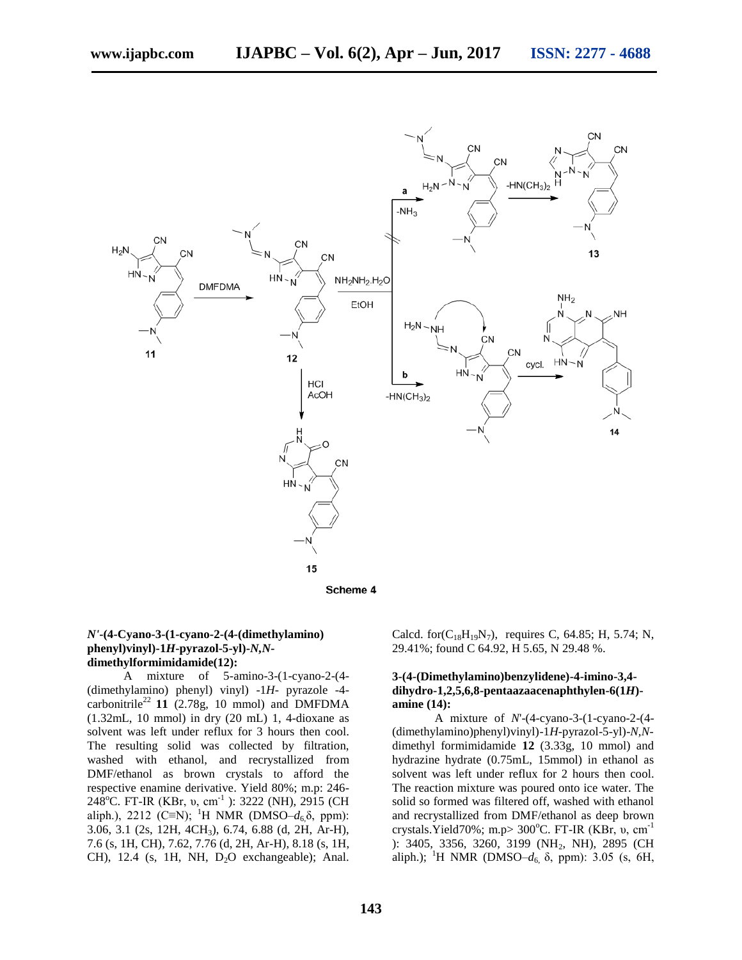

#### *N'***-(4-Cyano-3-(1-cyano-2-(4-(dimethylamino) phenyl)vinyl)-1***H***-pyrazol-5-yl)-***N,N***dimethylformimidamide(12):**

 A mixture of 5-amino-3-(1-cyano-2-(4- (dimethylamino) phenyl) vinyl) -1*H*- pyrazole -4 carbonitrile<sup>22</sup> 11 (2.78g, 10 mmol) and DMFDMA (1.32mL, 10 mmol) in dry (20 mL) 1, 4-dioxane as solvent was left under reflux for 3 hours then cool. The resulting solid was collected by filtration, washed with ethanol, and recrystallized from DMF/ethanol as brown crystals to afford the respective enamine derivative. Yield 80%; m.p: 246- 248<sup>o</sup>C. FT-IR (KBr, v, cm<sup>-1</sup>): 3222 (NH), 2915 (CH) aliph.), 2212 (C≡N); <sup>1</sup>H NMR (DMSO–*d*<sub>6</sub>δ, ppm): 3.06, 3.1 (2s, 12H, 4CH3), 6.74, 6.88 (d, 2H, Ar-H), 7.6 (s, 1H, CH), 7.62, 7.76 (d, 2H, Ar-H), 8.18 (s, 1H, CH), 12.4 (s, 1H, NH,  $D_2O$  exchangeable); Anal.

Calcd. for( $C_{18}H_{19}N_7$ ), requires C, 64.85; H, 5.74; N, 29.41%; found C 64.92, H 5.65, N 29.48 %.

#### **3-(4-(Dimethylamino)benzylidene)-4-imino-3,4 dihydro-1,2,5,6,8-pentaazaacenaphthylen-6(1***H***) amine (14):**

 A mixture of *N*'-(4-cyano-3-(1-cyano-2-(4- (dimethylamino)phenyl)vinyl)-1*H*-pyrazol-5-yl)-*N,N*dimethyl formimidamide **12** (3.33g, 10 mmol) and hydrazine hydrate (0.75mL, 15mmol) in ethanol as solvent was left under reflux for 2 hours then cool. The reaction mixture was poured onto ice water. The solid so formed was filtered off, washed with ethanol and recrystallized from DMF/ethanol as deep brown crystals.Yield70%; m.p>  $300^{\circ}$ C. FT-IR (KBr, v, cm<sup>-1</sup>) ): 3405, 3356, 3260, 3199 (NH<sub>2</sub>, NH), 2895 (CH) aliph.); <sup>1</sup>H NMR (DMSO– $d_6$ , δ, ppm): 3.05 (s, 6H,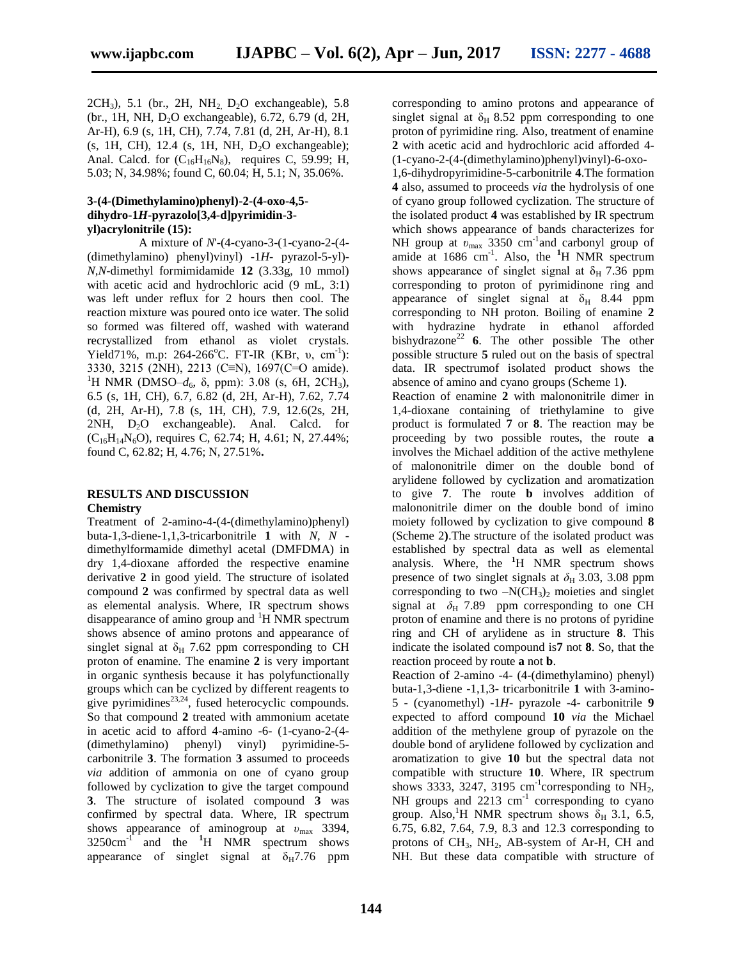$2CH_3$ ), 5.1 (br., 2H, NH<sub>2</sub>  $D_2O$  exchangeable), 5.8 (br., 1H, NH, D<sub>2</sub>O exchangeable), 6.72, 6.79 (d, 2H, Ar-H), 6.9 (s, 1H, CH), 7.74, 7.81 (d, 2H, Ar-H), 8.1  $(s, 1H, CH)$ , 12.4  $(s, 1H, NH, D<sub>2</sub>O$  exchangeable); Anal. Calcd. for  $(C_{16}H_{16}N_8)$ , requires C, 59.99; H, 5.03; N, 34.98%; found C, 60.04; H, 5.1; N, 35.06%.

#### **3-(4-(Dimethylamino)phenyl)-2-(4-oxo-4,5 dihydro-1***H***-pyrazolo[3,4-d]pyrimidin-3 yl)acrylonitrile (15):**

 A mixture of *N*'-(4-cyano-3-(1-cyano-2-(4- (dimethylamino) phenyl)vinyl) -1*H*- pyrazol-5-yl)- *N,N*-dimethyl formimidamide **12** (3.33g, 10 mmol) with acetic acid and hydrochloric acid  $(9 \text{ mL}, 3:1)$ was left under reflux for 2 hours then cool. The reaction mixture was poured onto ice water. The solid so formed was filtered off, washed with waterand recrystallized from ethanol as violet crystals. Yield71%, m.p: 264-266°C. FT-IR (KBr,  $v$ , cm<sup>-1</sup>): 3330, 3215 (2NH), 2213 (C≡N), 1697(C=O amide). <sup>1</sup>H NMR (DMSO– $d_6$ ,  $\delta$ , ppm): 3.08 (s, 6H, 2CH<sub>3</sub>), 6.5 (s, 1H, CH), 6.7, 6.82 (d, 2H, Ar-H), 7.62, 7.74 (d, 2H, Ar-H), 7.8 (s, 1H, CH), 7.9, 12.6(2s, 2H,  $2NH$ ,  $D_2O$  exchangeable). Anal. Calcd. for  $(C_{16}H_{14}N_6O)$ , requires C, 62.74; H, 4.61; N, 27.44%; found C, 62.82; H, 4.76; N, 27.51%**.**

#### **RESULTS AND DISCUSSION Chemistry**

Treatment of 2-amino-4-(4-(dimethylamino)phenyl) buta-1,3-diene-1,1,3-tricarbonitrile **1** with *N, N* dimethylformamide dimethyl acetal (DMFDMA) in dry 1,4-dioxane afforded the respective enamine derivative **2** in good yield. The structure of isolated compound **2** was confirmed by spectral data as well as elemental analysis. Where, IR spectrum shows disappearance of amino group and <sup>1</sup>H NMR spectrum shows absence of amino protons and appearance of singlet signal at  $\delta_H$  7.62 ppm corresponding to CH proton of enamine. The enamine **2** is very important in organic synthesis because it has polyfunctionally groups which can be cyclized by different reagents to give pyrimidines $^{23,24}$ , fused heterocyclic compounds. So that compound **2** treated with ammonium acetate in acetic acid to afford 4-amino -6- (1-cyano-2-(4- (dimethylamino) phenyl) vinyl) pyrimidine-5 carbonitrile **3**. The formation **3** assumed to proceeds *via* addition of ammonia on one of cyano group followed by cyclization to give the target compound **3**. The structure of isolated compound **3** was confirmed by spectral data. Where, IR spectrum shows appearance of aminogroup at *υ*max 3394,  $3250 \text{cm}^{-1}$  and the  $^{1}$ H NMR spectrum shows appearance of singlet signal at  $\delta_H$ 7.76 ppm

corresponding to amino protons and appearance of singlet signal at  $\delta_H$  8.52 ppm corresponding to one proton of pyrimidine ring. Also, treatment of enamine **2** with acetic acid and hydrochloric acid afforded 4- (1-cyano-2-(4-(dimethylamino)phenyl)vinyl)-6-oxo-

1,6-dihydropyrimidine-5-carbonitrile **4**.The formation **4** also, assumed to proceeds *via* the hydrolysis of one of cyano group followed cyclization. The structure of the isolated product **4** was established by IR spectrum which shows appearance of bands characterizes for NH group at  $v_{\text{max}}$  3350 cm<sup>-1</sup> and carbonyl group of amide at 1686 cm<sup>-1</sup>. Also, the <sup>1</sup>H NMR spectrum shows appearance of singlet signal at  $\delta_H$  7.36 ppm corresponding to proton of pyrimidinone ring and appearance of singlet signal at  $\delta_H$  8.44 ppm corresponding to NH proton. Boiling of enamine **2** with hydrazine hydrate in ethanol afforded bishydrazone<sup>22</sup> **6**. The other possible The other possible structure **5** ruled out on the basis of spectral data. IR spectrumof isolated product shows the absence of amino and cyano groups (Scheme 1**)**.

Reaction of enamine **2** with malononitrile dimer in 1,4-dioxane containing of triethylamine to give product is formulated **7** or **8**. The reaction may be proceeding by two possible routes, the route **a** involves the Michael addition of the active methylene of malononitrile dimer on the double bond of arylidene followed by cyclization and aromatization to give **7**. The route **b** involves addition of malononitrile dimer on the double bond of imino moiety followed by cyclization to give compound **8** (Scheme 2**)**.The structure of the isolated product was established by spectral data as well as elemental analysis. Where, the **<sup>1</sup>**H NMR spectrum shows presence of two singlet signals at  $\delta_H$  3.03, 3.08 ppm corresponding to two  $-N(CH_3)_2$  moieties and singlet signal at  $\delta_H$  7.89 ppm corresponding to one CH proton of enamine and there is no protons of pyridine ring and CH of arylidene as in structure **8**. This indicate the isolated compound is**7** not **8**. So, that the reaction proceed by route **a** not **b**.

Reaction of 2-amino -4- (4-(dimethylamino) phenyl) buta-1,3-diene -1,1,3- tricarbonitrile **1** with 3-amino-5 - (cyanomethyl) -1*H*- pyrazole -4- carbonitrile **9** expected to afford compound **10** *via* the Michael addition of the methylene group of pyrazole on the double bond of arylidene followed by cyclization and aromatization to give **10** but the spectral data not compatible with structure **10**. Where, IR spectrum shows 3333, 3247, 3195  $cm^{-1}$ corresponding to NH<sub>2</sub>, NH groups and  $2213 \text{ cm}^{-1}$  corresponding to cyano group. Also, <sup>1</sup>H NMR spectrum shows  $\delta_H$  3.1, 6.5, 6.75, 6.82, 7.64, 7.9, 8.3 and 12.3 corresponding to protons of  $CH_3$ ,  $NH_2$ , AB-system of Ar-H, CH and NH. But these data compatible with structure of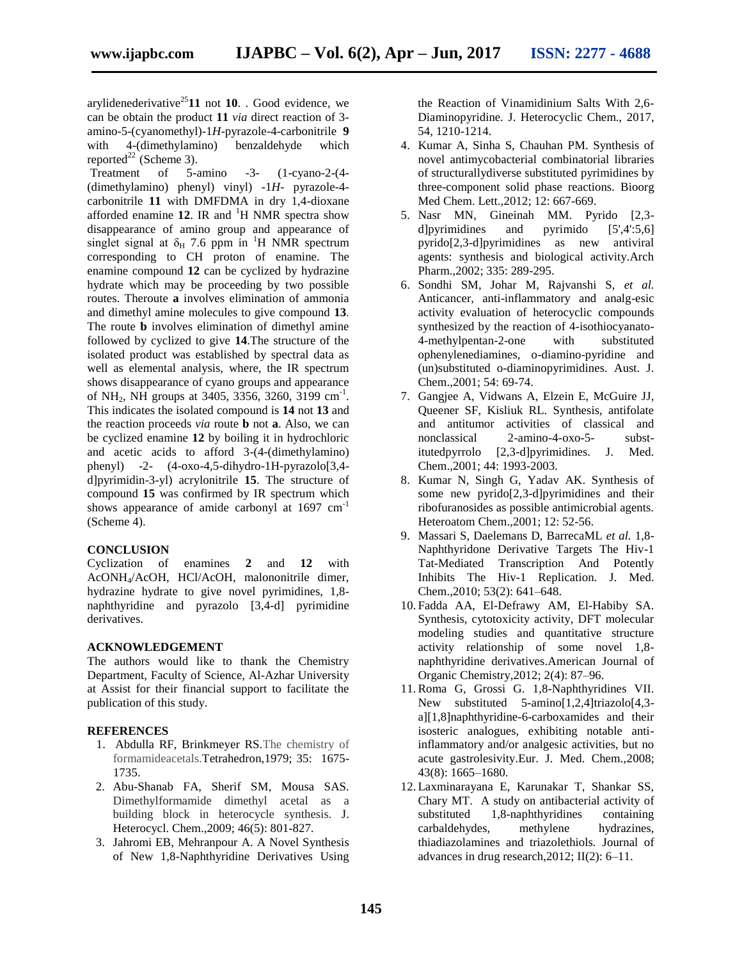arylidenederivative<sup>25</sup>11 not 10. . Good evidence, we can be obtain the product **11** *via* direct reaction of 3 amino-5-(cyanomethyl)-1*H*-pyrazole-4-carbonitrile **9** with 4-(dimethylamino) benzaldehyde which reported<sup>22</sup> (Scheme 3).

Treatment of 5-amino -3- (1-cyano-2-(4- (dimethylamino) phenyl) vinyl) -1*H*- pyrazole-4 carbonitrile **11** with DMFDMA in dry 1,4-dioxane afforded enamine  $12$ . IR and  ${}^{1}H$  NMR spectra show disappearance of amino group and appearance of singlet signal at  $\delta_H$  7.6 ppm in <sup>1</sup>H NMR spectrum corresponding to CH proton of enamine. The enamine compound **12** can be cyclized by hydrazine hydrate which may be proceeding by two possible routes. Theroute **a** involves elimination of ammonia and dimethyl amine molecules to give compound **13**. The route **b** involves elimination of dimethyl amine followed by cyclized to give **14**.The structure of the isolated product was established by spectral data as well as elemental analysis, where, the IR spectrum shows disappearance of cyano groups and appearance of NH<sub>2</sub>, NH groups at 3405, 3356, 3260, 3199 cm<sup>-1</sup>. This indicates the isolated compound is **14** not **13** and the reaction proceeds *via* route **b** not **a**. Also, we can be cyclized enamine **12** by boiling it in hydrochloric and acetic acids to afford 3-(4-(dimethylamino) phenyl) -2- (4-oxo-4,5-dihydro-1H-pyrazolo[3,4 d]pyrimidin-3-yl) acrylonitrile **15**. The structure of compound **15** was confirmed by IR spectrum which shows appearance of amide carbonyl at 1697 cm<sup>-1</sup> (Scheme 4).

#### **CONCLUSION**

Cyclization of enamines **2** and **12** with AcONH4/AcOH, HCl/AcOH, malononitrile dimer, hydrazine hydrate to give novel pyrimidines, 1,8 naphthyridine and pyrazolo [3,4-d] pyrimidine derivatives.

#### **ACKNOWLEDGEMENT**

The authors would like to thank the Chemistry Department, Faculty of Science, Al-Azhar University at Assist for their financial support to facilitate the publication of this study.

#### **REFERENCES**

- 1. Abdulla RF, Brinkmeyer RS.The chemistry of formamideacetals.Tetrahedron,1979; 35: 1675- 1735.
- 2. Abu-Shanab FA, Sherif SM, Mousa SAS. Dimethylformamide dimethyl acetal as a building block in heterocycle synthesis. J. Heterocycl. Chem.,2009; 46(5): 801-827.
- 3. Jahromi EB, Mehranpour A. A Novel Synthesis of New 1,8-Naphthyridine Derivatives Using

the Reaction of Vinamidinium Salts With 2,6- Diaminopyridine. J. Heterocyclic Chem., 2017, 54, 1210-1214.

- 4. Kumar A, Sinha S, Chauhan PM. Synthesis of novel antimycobacterial combinatorial libraries of structurallydiverse substituted pyrimidines by three-component solid phase reactions*.* Bioorg Med Chem. Lett.,2012; 12: 667-669.
- 5. Nasr MN, Gineinah MM. Pyrido [2,3 d]pyrimidines and pyrimido [5',4':5,6] pyrido[2,3-d]pyrimidines as new antiviral agents: synthesis and biological activity.Arch Pharm.,2002; 335: 289-295.
- 6. Sondhi SM, Johar M, Rajvanshi S, *et al.* Anticancer, anti-inflammatory and analg-esic activity evaluation of heterocyclic compounds synthesized by the reaction of 4-isothiocyanato-4-methylpentan-2-one with substituted ophenylenediamines, o-diamino-pyridine and (un)substituted o-diaminopyrimidines. Aust. J. Chem.,2001; 54: 69-74.
- 7. Gangjee A, Vidwans A, Elzein E, McGuire JJ, Queener SF, Kisliuk RL. Synthesis, antifolate and antitumor activities of classical and nonclassical 2-amino-4-oxo-5- substitutedpyrrolo [2,3-d]pyrimidines. J. Med. Chem.,2001; 44: 1993-2003.
- 8. Kumar N, Singh G, Yadav AK. Synthesis of some new pyrido[2,3-d]pyrimidines and their ribofuranosides as possible antimicrobial agents*.*  Heteroatom Chem.,2001; 12: 52-56.
- 9. Massari S, Daelemans D, BarrecaML *et al.* 1,8- Naphthyridone Derivative Targets The Hiv-1 Tat-Mediated Transcription And Potently Inhibits The Hiv-1 Replication. J. Med. Chem.,2010; 53(2): 641–648.
- 10. Fadda AA, El-Defrawy AM, El-Habiby SA. Synthesis, cytotoxicity activity, DFT molecular modeling studies and quantitative structure activity relationship of some novel 1,8 naphthyridine derivatives.American Journal of Organic Chemistry,2012; 2(4): 87–96.
- 11.Roma G, Grossi G. 1,8-Naphthyridines VII. New substituted 5-amino[1,2,4]triazolo[4,3 a][1,8]naphthyridine-6-carboxamides and their isosteric analogues, exhibiting notable antiinflammatory and/or analgesic activities, but no acute gastrolesivity.Eur. J. Med. Chem.,2008; 43(8): 1665–1680.
- 12. Laxminarayana E, Karunakar T, Shankar SS, Chary MT. A study on antibacterial activity of<br>substituted 1,8-naphthyridines containing substituted  $1,8$ -naphthyridines carbaldehydes, methylene hydrazines, thiadiazolamines and triazolethiols*.* Journal of advances in drug research,2012; II(2): 6–11.